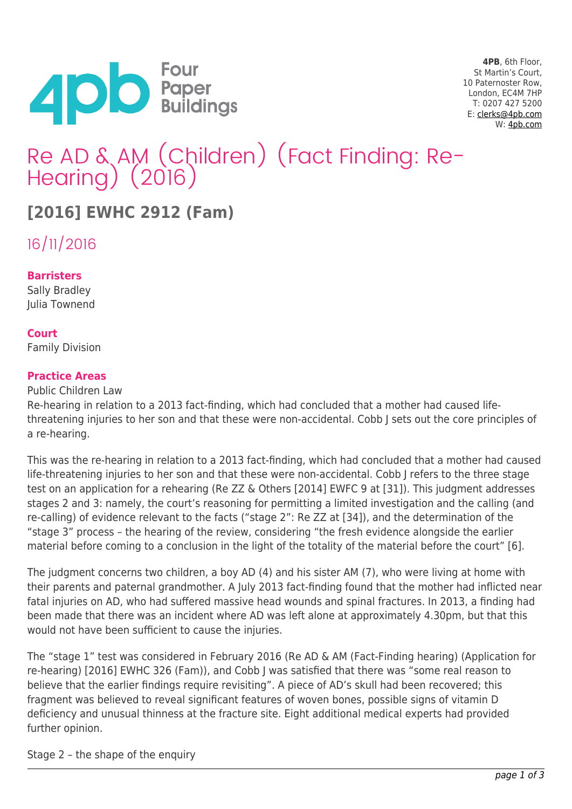

**4PB**, 6th Floor, St Martin's Court, 10 Paternoster Row, London, EC4M 7HP T: 0207 427 5200 E: [clerks@4pb.com](mailto:clerks@4pb.com) W: [4pb.com](http://4pb.com)

# Re AD & AM (Children) (Fact Finding: Re- Hearing) (2016)

## **[2016] EWHC 2912 (Fam)**

16/11/2016

### **Barristers**

Sally Bradley Julia Townend

### **Court**

Family Division

#### **Practice Areas**

Public Children Law

Re-hearing in relation to a 2013 fact-finding, which had concluded that a mother had caused lifethreatening injuries to her son and that these were non-accidental. Cobb J sets out the core principles of a re-hearing.

This was the re-hearing in relation to a 2013 fact-finding, which had concluded that a mother had caused life-threatening injuries to her son and that these were non-accidental. Cobb J refers to the three stage test on an application for a rehearing (Re ZZ & Others [2014] EWFC 9 at [31]). This judgment addresses stages 2 and 3: namely, the court's reasoning for permitting a limited investigation and the calling (and re-calling) of evidence relevant to the facts ("stage 2": Re ZZ at [34]), and the determination of the "stage 3" process – the hearing of the review, considering "the fresh evidence alongside the earlier material before coming to a conclusion in the light of the totality of the material before the court" [6].

The judgment concerns two children, a boy AD (4) and his sister AM (7), who were living at home with their parents and paternal grandmother. A July 2013 fact-finding found that the mother had inflicted near fatal injuries on AD, who had suffered massive head wounds and spinal fractures. In 2013, a finding had been made that there was an incident where AD was left alone at approximately 4.30pm, but that this would not have been sufficient to cause the injuries.

The "stage 1" test was considered in February 2016 (Re AD & AM (Fact-Finding hearing) (Application for re-hearing) [2016] EWHC 326 (Fam)), and Cobb J was satisfied that there was "some real reason to believe that the earlier findings require revisiting". A piece of AD's skull had been recovered; this fragment was believed to reveal significant features of woven bones, possible signs of vitamin D deficiency and unusual thinness at the fracture site. Eight additional medical experts had provided further opinion.

Stage 2 – the shape of the enquiry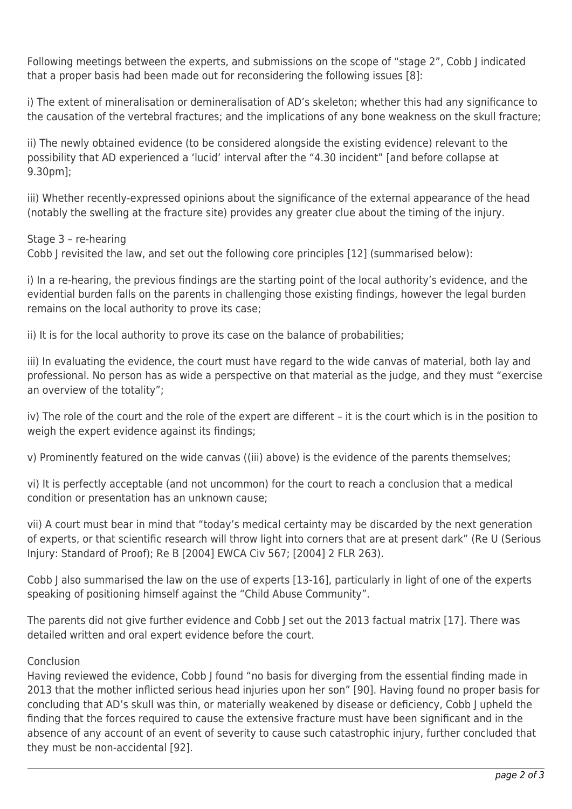Following meetings between the experts, and submissions on the scope of "stage 2", Cobb J indicated that a proper basis had been made out for reconsidering the following issues [8]:

i) The extent of mineralisation or demineralisation of AD's skeleton; whether this had any significance to the causation of the vertebral fractures; and the implications of any bone weakness on the skull fracture;

ii) The newly obtained evidence (to be considered alongside the existing evidence) relevant to the possibility that AD experienced a 'lucid' interval after the "4.30 incident" [and before collapse at 9.30pm];

iii) Whether recently-expressed opinions about the significance of the external appearance of the head (notably the swelling at the fracture site) provides any greater clue about the timing of the injury.

Stage 3 – re-hearing

Cobb J revisited the law, and set out the following core principles [12] (summarised below):

i) In a re-hearing, the previous findings are the starting point of the local authority's evidence, and the evidential burden falls on the parents in challenging those existing findings, however the legal burden remains on the local authority to prove its case;

ii) It is for the local authority to prove its case on the balance of probabilities;

iii) In evaluating the evidence, the court must have regard to the wide canvas of material, both lay and professional. No person has as wide a perspective on that material as the judge, and they must "exercise an overview of the totality";

iv) The role of the court and the role of the expert are different – it is the court which is in the position to weigh the expert evidence against its findings;

v) Prominently featured on the wide canvas ((iii) above) is the evidence of the parents themselves;

vi) It is perfectly acceptable (and not uncommon) for the court to reach a conclusion that a medical condition or presentation has an unknown cause;

vii) A court must bear in mind that "today's medical certainty may be discarded by the next generation of experts, or that scientific research will throw light into corners that are at present dark" (Re U (Serious Injury: Standard of Proof); Re B [2004] EWCA Civ 567; [2004] 2 FLR 263).

Cobb J also summarised the law on the use of experts [13-16], particularly in light of one of the experts speaking of positioning himself against the "Child Abuse Community".

The parents did not give further evidence and Cobb J set out the 2013 factual matrix [17]. There was detailed written and oral expert evidence before the court.

#### Conclusion

Having reviewed the evidence, Cobb J found "no basis for diverging from the essential finding made in 2013 that the mother inflicted serious head injuries upon her son" [90]. Having found no proper basis for concluding that AD's skull was thin, or materially weakened by disease or deficiency, Cobb J upheld the finding that the forces required to cause the extensive fracture must have been significant and in the absence of any account of an event of severity to cause such catastrophic injury, further concluded that they must be non-accidental [92].